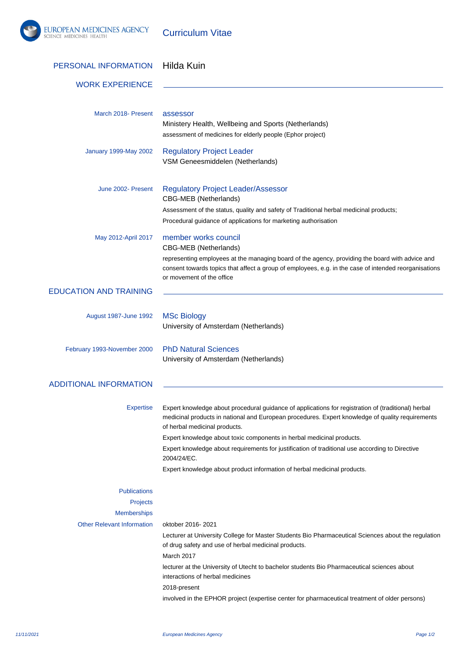

Curriculum Vitae

| PERSONAL INFORMATION              | Hilda Kuin                                                                                                                                                                                                                               |
|-----------------------------------|------------------------------------------------------------------------------------------------------------------------------------------------------------------------------------------------------------------------------------------|
| <b>WORK EXPERIENCE</b>            |                                                                                                                                                                                                                                          |
|                                   |                                                                                                                                                                                                                                          |
| March 2018- Present               | assessor<br>Ministery Health, Wellbeing and Sports (Netherlands)                                                                                                                                                                         |
|                                   | assessment of medicines for elderly people (Ephor project)                                                                                                                                                                               |
| January 1999-May 2002             | <b>Regulatory Project Leader</b>                                                                                                                                                                                                         |
|                                   | VSM Geneesmiddelen (Netherlands)                                                                                                                                                                                                         |
| June 2002- Present                | <b>Regulatory Project Leader/Assessor</b>                                                                                                                                                                                                |
|                                   | CBG-MEB (Netherlands)                                                                                                                                                                                                                    |
|                                   | Assessment of the status, quality and safety of Traditional herbal medicinal products;<br>Procedural guidance of applications for marketing authorisation                                                                                |
| May 2012-April 2017               | member works council                                                                                                                                                                                                                     |
|                                   | <b>CBG-MEB</b> (Netherlands)                                                                                                                                                                                                             |
|                                   | representing employees at the managing board of the agency, providing the board with advice and<br>consent towards topics that affect a group of employees, e.g. in the case of intended reorganisations<br>or movement of the office    |
| <b>EDUCATION AND TRAINING</b>     |                                                                                                                                                                                                                                          |
| August 1987-June 1992             | <b>MSc Biology</b>                                                                                                                                                                                                                       |
|                                   | University of Amsterdam (Netherlands)                                                                                                                                                                                                    |
| February 1993-November 2000       | <b>PhD Natural Sciences</b>                                                                                                                                                                                                              |
|                                   | University of Amsterdam (Netherlands)                                                                                                                                                                                                    |
| <b>ADDITIONAL INFORMATION</b>     |                                                                                                                                                                                                                                          |
|                                   |                                                                                                                                                                                                                                          |
| Expertise                         | Expert knowledge about procedural guidance of applications for registration of (traditional) herbal<br>medicinal products in national and European procedures. Expert knowledge of quality requirements<br>of herbal medicinal products. |
|                                   | Expert knowledge about toxic components in herbal medicinal products.                                                                                                                                                                    |
|                                   | Expert knowledge about requirements for justification of traditional use according to Directive<br>2004/24/EC.                                                                                                                           |
|                                   | Expert knowledge about product information of herbal medicinal products.                                                                                                                                                                 |
| <b>Publications</b>               |                                                                                                                                                                                                                                          |
| Projects                          |                                                                                                                                                                                                                                          |
| <b>Memberships</b>                |                                                                                                                                                                                                                                          |
| <b>Other Relevant Information</b> | oktober 2016-2021                                                                                                                                                                                                                        |
|                                   | Lecturer at University College for Master Students Bio Pharmaceutical Sciences about the regulation<br>of drug safety and use of herbal medicinal products.<br>March 2017                                                                |
|                                   | lecturer at the University of Utecht to bachelor students Bio Pharmaceutical sciences about<br>interactions of herbal medicines                                                                                                          |
|                                   | 2018-present                                                                                                                                                                                                                             |
|                                   | involved in the EPHOR project (expertise center for pharmaceutical treatment of older persons)                                                                                                                                           |